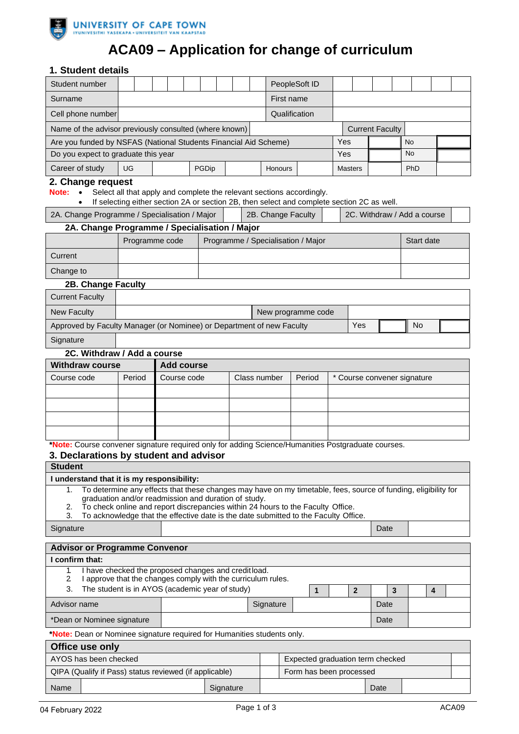

# **ACA09 – Application for change of curriculum**

### **1. Student details**

| Student number                                                                                                                                                                            |                                                                                   |                             |  |       |  |  |            |                                  | PeopleSoft ID                      |  |                |      |  |                             |            |  |  |
|-------------------------------------------------------------------------------------------------------------------------------------------------------------------------------------------|-----------------------------------------------------------------------------------|-----------------------------|--|-------|--|--|------------|----------------------------------|------------------------------------|--|----------------|------|--|-----------------------------|------------|--|--|
| Surname                                                                                                                                                                                   |                                                                                   |                             |  |       |  |  | First name |                                  |                                    |  |                |      |  |                             |            |  |  |
| Cell phone number                                                                                                                                                                         |                                                                                   |                             |  |       |  |  |            | Qualification                    |                                    |  |                |      |  |                             |            |  |  |
| Name of the advisor previously consulted (where known)<br><b>Current Faculty</b>                                                                                                          |                                                                                   |                             |  |       |  |  |            |                                  |                                    |  |                |      |  |                             |            |  |  |
| Yes<br>Are you funded by NSFAS (National Students Financial Aid Scheme)<br><b>No</b>                                                                                                      |                                                                                   |                             |  |       |  |  |            |                                  |                                    |  |                |      |  |                             |            |  |  |
| Do you expect to graduate this year                                                                                                                                                       |                                                                                   |                             |  |       |  |  |            |                                  |                                    |  | Yes            |      |  | <b>No</b>                   |            |  |  |
| Career of study                                                                                                                                                                           | UG                                                                                |                             |  | PGDip |  |  |            | <b>Honours</b>                   |                                    |  | <b>Masters</b> |      |  |                             | PhD        |  |  |
| 2. Change request                                                                                                                                                                         |                                                                                   |                             |  |       |  |  |            |                                  |                                    |  |                |      |  |                             |            |  |  |
| Select all that apply and complete the relevant sections accordingly.<br>Note:<br>$\bullet$<br>If selecting either section 2A or section 2B, then select and complete section 2C as well. |                                                                                   |                             |  |       |  |  |            |                                  |                                    |  |                |      |  |                             |            |  |  |
| 2A. Change Programme / Specialisation / Major<br>2B. Change Faculty<br>2C. Withdraw / Add a course                                                                                        |                                                                                   |                             |  |       |  |  |            |                                  |                                    |  |                |      |  |                             |            |  |  |
|                                                                                                                                                                                           | 2A. Change Programme / Specialisation / Major                                     |                             |  |       |  |  |            |                                  |                                    |  |                |      |  |                             |            |  |  |
|                                                                                                                                                                                           | Programme code                                                                    |                             |  |       |  |  |            |                                  | Programme / Specialisation / Major |  |                |      |  |                             | Start date |  |  |
| Current                                                                                                                                                                                   |                                                                                   |                             |  |       |  |  |            |                                  |                                    |  |                |      |  |                             |            |  |  |
| Change to                                                                                                                                                                                 |                                                                                   |                             |  |       |  |  |            |                                  |                                    |  |                |      |  |                             |            |  |  |
| 2B. Change Faculty                                                                                                                                                                        |                                                                                   |                             |  |       |  |  |            |                                  |                                    |  |                |      |  |                             |            |  |  |
| <b>Current Faculty</b>                                                                                                                                                                    |                                                                                   |                             |  |       |  |  |            |                                  |                                    |  |                |      |  |                             |            |  |  |
| <b>New Faculty</b>                                                                                                                                                                        |                                                                                   |                             |  |       |  |  |            |                                  | New programme code                 |  |                |      |  |                             |            |  |  |
| Approved by Faculty Manager (or Nominee) or Department of new Faculty                                                                                                                     |                                                                                   |                             |  |       |  |  |            |                                  |                                    |  |                | Yes  |  |                             | No         |  |  |
| Signature                                                                                                                                                                                 |                                                                                   |                             |  |       |  |  |            |                                  |                                    |  |                |      |  |                             |            |  |  |
| 2C. Withdraw / Add a course                                                                                                                                                               |                                                                                   |                             |  |       |  |  |            |                                  |                                    |  |                |      |  |                             |            |  |  |
| <b>Withdraw course</b>                                                                                                                                                                    |                                                                                   | <b>Add course</b>           |  |       |  |  |            |                                  |                                    |  |                |      |  |                             |            |  |  |
| Course code                                                                                                                                                                               | Period                                                                            | Course code<br>Class number |  |       |  |  |            | Period                           |                                    |  |                |      |  | * Course convener signature |            |  |  |
|                                                                                                                                                                                           |                                                                                   |                             |  |       |  |  |            |                                  |                                    |  |                |      |  |                             |            |  |  |
|                                                                                                                                                                                           |                                                                                   |                             |  |       |  |  |            |                                  |                                    |  |                |      |  |                             |            |  |  |
|                                                                                                                                                                                           |                                                                                   |                             |  |       |  |  |            |                                  |                                    |  |                |      |  |                             |            |  |  |
| *Note: Course convener signature required only for adding Science/Humanities Postgraduate courses.                                                                                        |                                                                                   |                             |  |       |  |  |            |                                  |                                    |  |                |      |  |                             |            |  |  |
|                                                                                                                                                                                           |                                                                                   |                             |  |       |  |  |            |                                  |                                    |  |                |      |  |                             |            |  |  |
| 3. Declarations by student and advisor<br><b>Student</b>                                                                                                                                  |                                                                                   |                             |  |       |  |  |            |                                  |                                    |  |                |      |  |                             |            |  |  |
| I understand that it is my responsibility:                                                                                                                                                |                                                                                   |                             |  |       |  |  |            |                                  |                                    |  |                |      |  |                             |            |  |  |
| To determine any effects that these changes may have on my timetable, fees, source of funding, eligibility for<br>1.<br>graduation and/or readmission and duration of study.              |                                                                                   |                             |  |       |  |  |            |                                  |                                    |  |                |      |  |                             |            |  |  |
| To check online and report discrepancies within 24 hours to the Faculty Office.<br>2.                                                                                                     |                                                                                   |                             |  |       |  |  |            |                                  |                                    |  |                |      |  |                             |            |  |  |
| To acknowledge that the effective date is the date submitted to the Faculty Office.<br>3.<br>Date                                                                                         |                                                                                   |                             |  |       |  |  |            |                                  |                                    |  |                |      |  |                             |            |  |  |
| Signature                                                                                                                                                                                 |                                                                                   |                             |  |       |  |  |            |                                  |                                    |  |                |      |  |                             |            |  |  |
| <b>Advisor or Programme Convenor</b>                                                                                                                                                      |                                                                                   |                             |  |       |  |  |            |                                  |                                    |  |                |      |  |                             |            |  |  |
| I confirm that:                                                                                                                                                                           |                                                                                   |                             |  |       |  |  |            |                                  |                                    |  |                |      |  |                             |            |  |  |
| I have checked the proposed changes and credit load.<br>1.<br>2<br>I approve that the changes comply with the curriculum rules.                                                           |                                                                                   |                             |  |       |  |  |            |                                  |                                    |  |                |      |  |                             |            |  |  |
| The student is in AYOS (academic year of study)<br>3.<br>$\boldsymbol{2}$<br>3<br>4<br>1                                                                                                  |                                                                                   |                             |  |       |  |  |            |                                  |                                    |  |                |      |  |                             |            |  |  |
| Advisor name                                                                                                                                                                              |                                                                                   |                             |  |       |  |  |            | Signature                        |                                    |  |                | Date |  |                             |            |  |  |
| *Dean or Nominee signature                                                                                                                                                                |                                                                                   |                             |  |       |  |  |            |                                  |                                    |  |                | Date |  |                             |            |  |  |
| *Note: Dean or Nominee signature required for Humanities students only.                                                                                                                   |                                                                                   |                             |  |       |  |  |            |                                  |                                    |  |                |      |  |                             |            |  |  |
| Office use only                                                                                                                                                                           |                                                                                   |                             |  |       |  |  |            |                                  |                                    |  |                |      |  |                             |            |  |  |
| AYOS has been checked                                                                                                                                                                     |                                                                                   |                             |  |       |  |  |            | Expected graduation term checked |                                    |  |                |      |  |                             |            |  |  |
|                                                                                                                                                                                           | QIPA (Qualify if Pass) status reviewed (if applicable)<br>Form has been processed |                             |  |       |  |  |            |                                  |                                    |  |                |      |  |                             |            |  |  |
| Name                                                                                                                                                                                      | Signature                                                                         |                             |  |       |  |  |            |                                  |                                    |  | Date           |      |  |                             |            |  |  |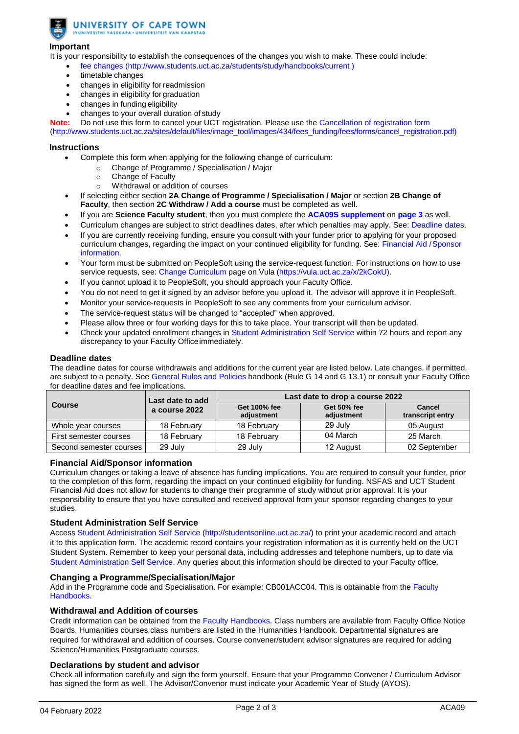UNIVERSITY OF CAPE TOWN IYUNIVESITHI YASEKAPA . UNIVERSITEIT VAN KAAPSTAD

#### **Important**

It is your responsibility to establish the consequences of the changes you wish to make. These could include:

- [fee changes \(http://www.students.uct.ac.za/students/study/handbooks/current](http://www.students.uct.ac.za/students/study/handbooks/current))
- timetable changes
- changes in eligibility for readmission
- changes in eligibility for graduation
- changes in funding eligibility
- changes to your overall duration of study

**Note:** Do not use this form to cancel your UCT registration. Please use the [Cancellation of registration form](http://forms.uct.ac.za/aca08.pdf) [\(http://www.students.uct.ac.za/sites/default/files/image\\_tool/images/434/fees\\_funding/fees/forms/cancel\\_registration.pdf\)](http://forms.uct.ac.za/aca08.pdf)

#### **Instructions**

- Complete this form when applying for the following change of curriculum:
	- o Change of Programme / Specialisation / Major
	- o Change of Faculty
	- o Withdrawal or addition of courses
- If selecting either section **2A Change of Programme / Specialisation / Major** or section **2B Change of Faculty**, then section **2C Withdraw / Add a course** must be completed as well.
- If you are **Science Faculty student**, then you must complete the **[ACA09S supplement](#page-2-0)** on **[page 3](#page-2-0)** as well.
- Curriculum changes are subject to strict deadlines dates, after which penalties may apply. See: Deadline dates.
- If you are currently receiving funding, ensure you consult with your funder prior to applying for your proposed curriculum changes, regarding the impact on your continued eligibility for funding. See: Financial Aid /Sponsor information.
- Your form must be submitted on PeopleSoft using the service-request function. For instructions on how to use service requests, see[: Change Curriculum](https://vula.uct.ac.za/x/2kCokU) page on Vula [\(https://vula.uct.ac.za/x/2kCokU\).](https://vula.uct.ac.za/x/2kCokU)
- If you cannot upload it to PeopleSoft, you should approach your Faculty Office.
- You do not need to get it signed by an advisor before you upload it. The advisor will approve it in PeopleSoft.
- Monitor your service-requests in PeopleSoft to see any comments from your curriculum advisor.
- The service-request status will be changed [to "accepted" when](http://studentsonline.uct.ac.za/) approved.
- Please allow three or four working days for this to take place. Your transcript will then be updated.
- Check your updated enrollment changes in Student Administration Self Service within 72 hours and report any discrepancy to your Faculty Officeimmediately.

#### **Deadline dates**

The deadline dates for course withdrawals and additions for the current year are listed below. Late changes, if permitted, are subject to a penalty. See [General Rules and Policies](http://www.students.uct.ac.za/students/study/handbooks/current) handbook (Rule G 14 and G 13.1) or consult your Faculty Office for deadline dates and fee implications.

|                         | Last date to add | Last date to drop a course 2022 |                           |                            |  |  |  |  |
|-------------------------|------------------|---------------------------------|---------------------------|----------------------------|--|--|--|--|
| <b>Course</b>           | a course 2022    | Get 100% fee<br>adiustment      | Get 50% fee<br>adiustment | Cancel<br>transcript entry |  |  |  |  |
| Whole year courses      | 18 February      | 18 February                     | 29 July                   | 05 August                  |  |  |  |  |
| First semester courses  | 18 February      | 18 February                     | 04 March                  | 25 March                   |  |  |  |  |
| Second semester courses | 29 July          | 29 July                         | 12 August                 | 02 September               |  |  |  |  |

#### **Financial Aid/Sponsor information**

Curriculum changes or taking a leave of absence has funding implications. You are required to consult your funder, prior to the completion of this form, regarding the impact on your continued eligibility for funding. NSFAS and UCT Student Financial Aid does not allow for students to change their programme of study without prior approval. It is your responsibility to ensure that you have consulted and received approval from your sponsor regarding changes to your studies.

#### **Student Administration Self Service**

Acces[s Student Administration Self Service \(http://studentsonline.uct.ac.za/\) to](http://studentsonline.uct.ac.za/) print your academic record and attach it to this application form. The academic record contains your registration information as it is currently held on the UCT Student System. Remember to keep your personal data, including addresses and telephone numbers, up to date via [Student Administration Self Service. A](http://studentsonline.uct.ac.za/)ny queries about this information should be directed to your Faculty office.

#### **Changing a Programme/Specialisation/Major**

Add in the Programme code and Specialisation. For example: CB001ACC04. This is obtainable from the [Faculty](http://www.students.uct.ac.za/students/study/handbooks/current) [Handbooks.](http://www.students.uct.ac.za/students/study/handbooks/current)

#### **Withdrawal and Addition of courses**

Credit information can be obtained from th[e Faculty Handbooks.](http://www.students.uct.ac.za/students/study/handbooks/current) Class numbers are available from Faculty Office Notice Boards. Humanities courses class numbers are listed in the Humanities Handbook. Departmental signatures are required for withdrawal and addition of courses. Course convener/student advisor signatures are required for adding Science/Humanities Postgraduate courses.

#### **Declarations by student and advisor**

Check all information carefully and sign the form yourself. Ensure that your Programme Convener / Curriculum Advisor has signed the form as well. The Advisor/Convenor must indicate your Academic Year of Study (AYOS).